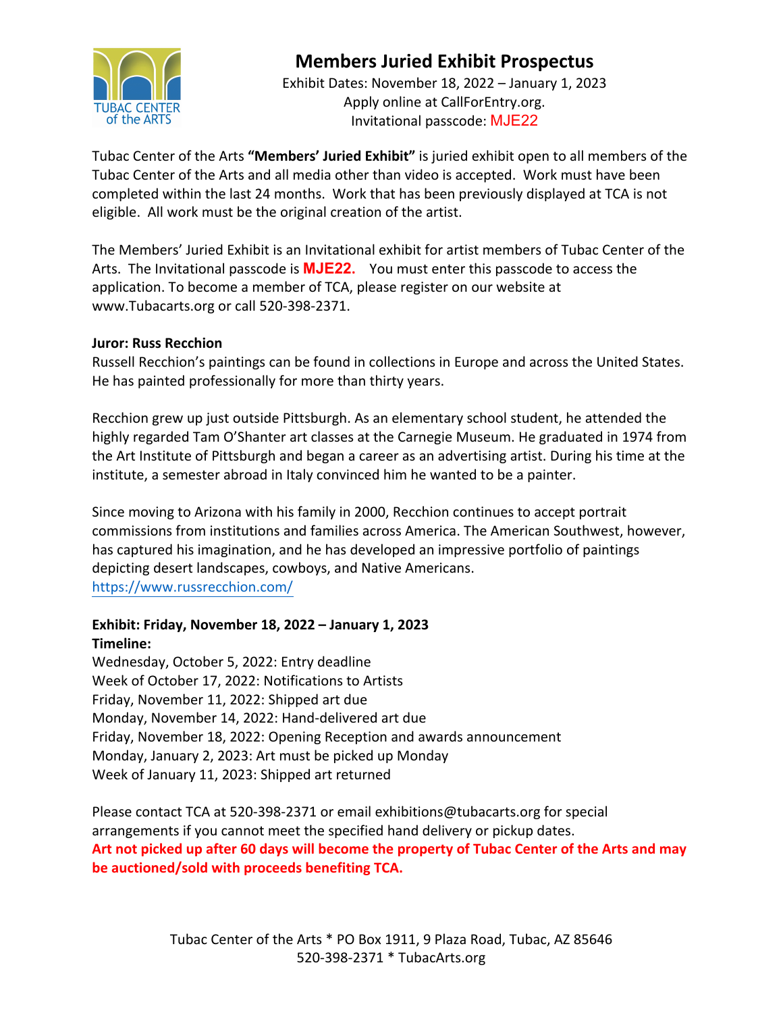

# **Members Juried Exhibit Prospectus**

Exhibit Dates: November 18, 2022 – January 1, 2023 Apply online at CallForEntry.org. Invitational passcode: MJE22

Tubac Center of the Arts **"Members' Juried Exhibit"** is juried exhibit open to all members of the Tubac Center of the Arts and all media other than video is accepted. Work must have been completed within the last 24 months. Work that has been previously displayed at TCA is not eligible. All work must be the original creation of the artist.

The Members' Juried Exhibit is an Invitational exhibit for artist members of Tubac Center of the Arts. The Invitational passcode is **MJE22.** You must enter this passcode to access the application. To become a member of TCA, please register on our website at www.Tubacarts.org or call 520-398-2371.

#### **Juror: Russ Recchion**

Russell Recchion's paintings can be found in collections in Europe and across the United States. He has painted professionally for more than thirty years.

Recchion grew up just outside Pittsburgh. As an elementary school student, he attended the highly regarded Tam O'Shanter art classes at the Carnegie Museum. He graduated in 1974 from the Art Institute of Pittsburgh and began a career as an advertising artist. During his time at the institute, a semester abroad in Italy convinced him he wanted to be a painter.

Since moving to Arizona with his family in 2000, Recchion continues to accept portrait commissions from institutions and families across America. The American Southwest, however, has captured his imagination, and he has developed an impressive portfolio of paintings depicting desert landscapes, cowboys, and Native Americans. https://www.russrecchion.com/

### **Exhibit: Friday, November 18, 2022 – January 1, 2023 Timeline:**

Wednesday, October 5, 2022: Entry deadline Week of October 17, 2022: Notifications to Artists Friday, November 11, 2022: Shipped art due Monday, November 14, 2022: Hand-delivered art due Friday, November 18, 2022: Opening Reception and awards announcement Monday, January 2, 2023: Art must be picked up Monday Week of January 11, 2023: Shipped art returned

Please contact TCA at 520-398-2371 or email exhibitions@tubacarts.org for special arrangements if you cannot meet the specified hand delivery or pickup dates. **Art not picked up after 60 days will become the property of Tubac Center of the Arts and may be auctioned/sold with proceeds benefiting TCA.**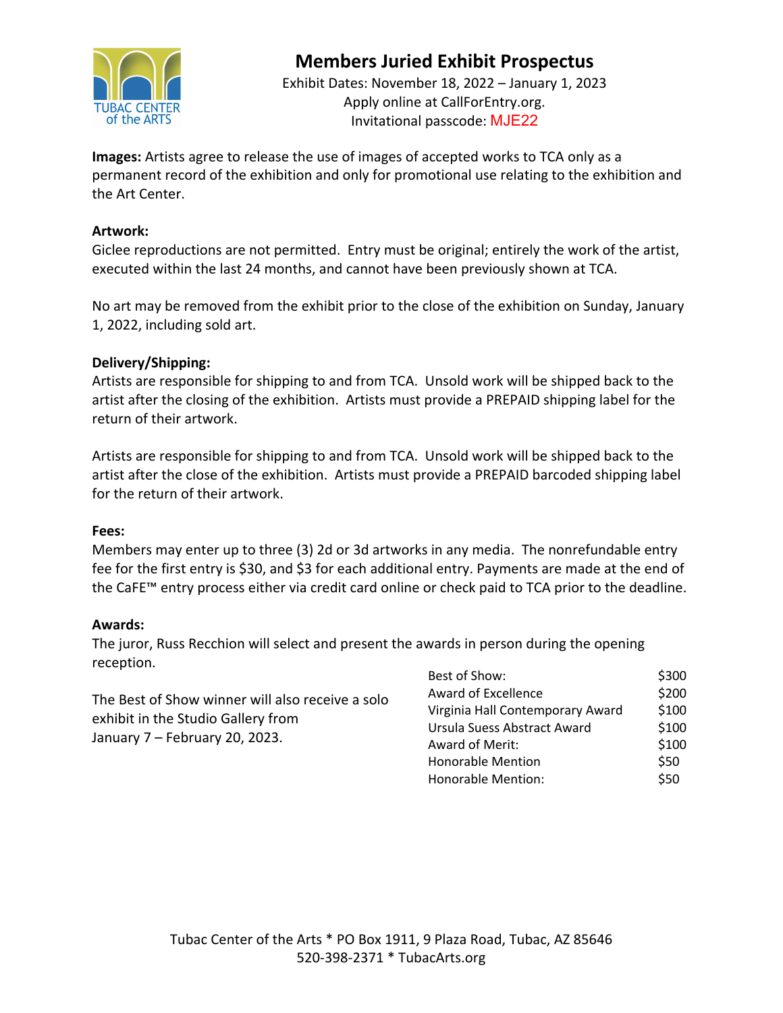

# **Members Juried Exhibit Prospectus**

Exhibit Dates: November 18, 2022 – January 1, 2023 Apply online at CallForEntry.org. Invitational passcode: MJE22

**Images:** Artists agree to release the use of images of accepted works to TCA only as a permanent record of the exhibition and only for promotional use relating to the exhibition and the Art Center.

#### **Artwork:**

Giclee reproductions are not permitted. Entry must be original; entirely the work of the artist, executed within the last 24 months, and cannot have been previously shown at TCA.

No art may be removed from the exhibit prior to the close of the exhibition on Sunday, January 1, 2022, including sold art.

#### **Delivery/Shipping:**

Artists are responsible for shipping to and from TCA. Unsold work will be shipped back to the artist after the closing of the exhibition. Artists must provide a PREPAID shipping label for the return of their artwork.

Artists are responsible for shipping to and from TCA. Unsold work will be shipped back to the artist after the close of the exhibition. Artists must provide a PREPAID barcoded shipping label for the return of their artwork.

#### **Fees:**

Members may enter up to three (3) 2d or 3d artworks in any media. The nonrefundable entry fee for the first entry is \$30, and \$3 for each additional entry. Payments are made at the end of the CaFE™ entry process either via credit card online or check paid to TCA prior to the deadline.

#### **Awards:**

The juror, Russ Recchion will select and present the awards in person during the opening reception.

The Best of Show winner will also receive a solo exhibit in the Studio Gallery from January 7 – February 20, 2023.

| Best of Show:                    | \$300 |
|----------------------------------|-------|
| Award of Excellence              | \$200 |
| Virginia Hall Contemporary Award | \$100 |
| Ursula Suess Abstract Award      | \$100 |
| Award of Merit:                  | \$100 |
| <b>Honorable Mention</b>         | \$50  |
| Honorable Mention:               | \$50  |